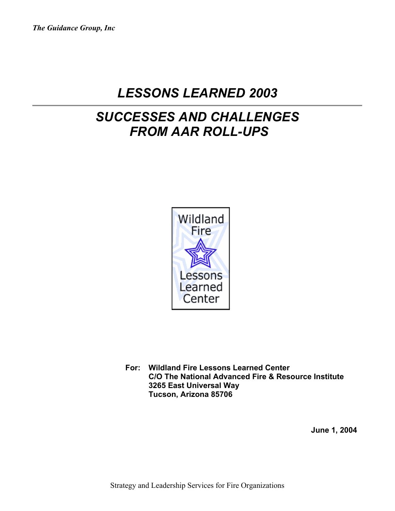# *LESSONS LEARNED 2003*

# *SUCCESSES AND CHALLENGES FROM AAR ROLL-UPS*



**For: Wildland Fire Lessons Learned Center C/O The National Advanced Fire & Resource Institute 3265 East Universal Way Tucson, Arizona 85706** 

**June 1, 2004**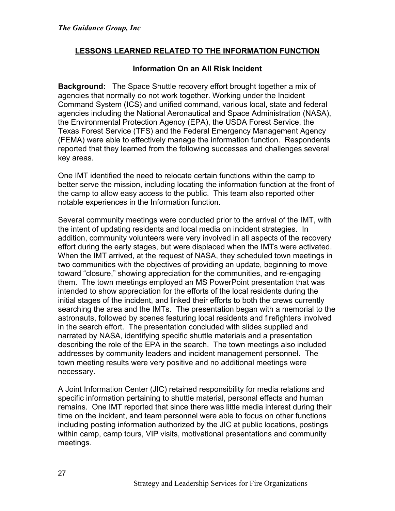## **LESSONS LEARNED RELATED TO THE INFORMATION FUNCTION**

#### **Information On an All Risk Incident**

**Background:** The Space Shuttle recovery effort brought together a mix of agencies that normally do not work together. Working under the Incident Command System (ICS) and unified command, various local, state and federal agencies including the National Aeronautical and Space Administration (NASA), the Environmental Protection Agency (EPA), the USDA Forest Service, the Texas Forest Service (TFS) and the Federal Emergency Management Agency (FEMA) were able to effectively manage the information function. Respondents reported that they learned from the following successes and challenges several key areas.

One IMT identified the need to relocate certain functions within the camp to better serve the mission, including locating the information function at the front of the camp to allow easy access to the public. This team also reported other notable experiences in the Information function.

Several community meetings were conducted prior to the arrival of the IMT, with the intent of updating residents and local media on incident strategies. In addition, community volunteers were very involved in all aspects of the recovery effort during the early stages, but were displaced when the IMTs were activated. When the IMT arrived, at the request of NASA, they scheduled town meetings in two communities with the objectives of providing an update, beginning to move toward "closure," showing appreciation for the communities, and re-engaging them. The town meetings employed an MS PowerPoint presentation that was intended to show appreciation for the efforts of the local residents during the initial stages of the incident, and linked their efforts to both the crews currently searching the area and the IMTs. The presentation began with a memorial to the astronauts, followed by scenes featuring local residents and firefighters involved in the search effort. The presentation concluded with slides supplied and narrated by NASA, identifying specific shuttle materials and a presentation describing the role of the EPA in the search. The town meetings also included addresses by community leaders and incident management personnel. The town meeting results were very positive and no additional meetings were necessary.

A Joint Information Center (JIC) retained responsibility for media relations and specific information pertaining to shuttle material, personal effects and human remains. One IMT reported that since there was little media interest during their time on the incident, and team personnel were able to focus on other functions including posting information authorized by the JIC at public locations, postings within camp, camp tours, VIP visits, motivational presentations and community meetings.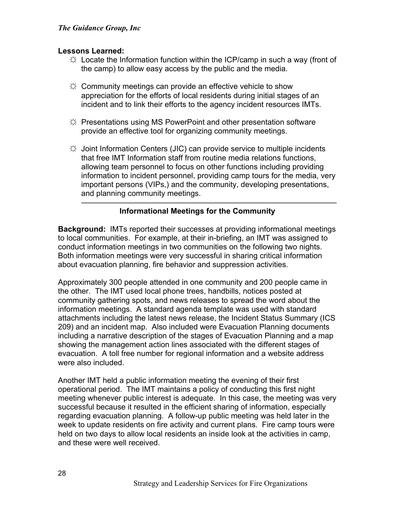#### **Lessons Learned:**

- $\dotimes$  Locate the Information function within the ICP/camp in such a way (front of the camp) to allow easy access by the public and the media.
- $\uplus$  Community meetings can provide an effective vehicle to show appreciation for the efforts of local residents during initial stages of an incident and to link their efforts to the agency incident resources IMTs.
- $\uplus$  Presentations using MS PowerPoint and other presentation software provide an effective tool for organizing community meetings.
- $\uplus$  Joint Information Centers (JIC) can provide service to multiple incidents that free IMT Information staff from routine media relations functions, allowing team personnel to focus on other functions including providing information to incident personnel, providing camp tours for the media, very important persons (VIPs,) and the community, developing presentations, and planning community meetings.

## **Informational Meetings for the Community**

**Background:** IMTs reported their successes at providing informational meetings to local communities. For example, at their in-briefing, an IMT was assigned to conduct information meetings in two communities on the following two nights. Both information meetings were very successful in sharing critical information about evacuation planning, fire behavior and suppression activities.

Approximately 300 people attended in one community and 200 people came in the other. The IMT used local phone trees, handbills, notices posted at community gathering spots, and news releases to spread the word about the information meetings. A standard agenda template was used with standard attachments including the latest news release, the Incident Status Summary (ICS 209) and an incident map. Also included were Evacuation Planning documents including a narrative description of the stages of Evacuation Planning and a map showing the management action lines associated with the different stages of evacuation. A toll free number for regional information and a website address were also included.

Another IMT held a public information meeting the evening of their first operational period. The IMT maintains a policy of conducting this first night meeting whenever public interest is adequate. In this case, the meeting was very successful because it resulted in the efficient sharing of information, especially regarding evacuation planning. A follow-up public meeting was held later in the week to update residents on fire activity and current plans. Fire camp tours were held on two days to allow local residents an inside look at the activities in camp, and these were well received.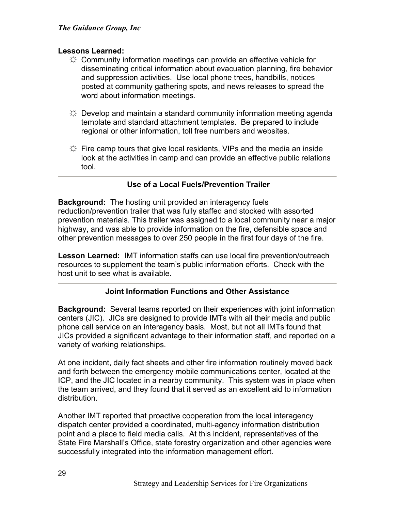#### **Lessons Learned:**

- $\uplus$  Community information meetings can provide an effective vehicle for disseminating critical information about evacuation planning, fire behavior and suppression activities. Use local phone trees, handbills, notices posted at community gathering spots, and news releases to spread the word about information meetings.
- $\uplus$  Develop and maintain a standard community information meeting agenda template and standard attachment templates. Be prepared to include regional or other information, toll free numbers and websites.
- $\Leftrightarrow$  Fire camp tours that give local residents, VIPs and the media an inside look at the activities in camp and can provide an effective public relations tool.

## **Use of a Local Fuels/Prevention Trailer**

**Background:** The hosting unit provided an interagency fuels reduction/prevention trailer that was fully staffed and stocked with assorted prevention materials. This trailer was assigned to a local community near a major highway, and was able to provide information on the fire, defensible space and other prevention messages to over 250 people in the first four days of the fire.

**Lesson Learned:** IMT information staffs can use local fire prevention/outreach resources to supplement the team's public information efforts. Check with the host unit to see what is available.

## **Joint Information Functions and Other Assistance**

**Background:** Several teams reported on their experiences with joint information centers (JIC). JICs are designed to provide IMTs with all their media and public phone call service on an interagency basis. Most, but not all IMTs found that JICs provided a significant advantage to their information staff, and reported on a variety of working relationships.

At one incident, daily fact sheets and other fire information routinely moved back and forth between the emergency mobile communications center, located at the ICP, and the JIC located in a nearby community. This system was in place when the team arrived, and they found that it served as an excellent aid to information distribution.

Another IMT reported that proactive cooperation from the local interagency dispatch center provided a coordinated, multi-agency information distribution point and a place to field media calls. At this incident, representatives of the State Fire Marshall's Office, state forestry organization and other agencies were successfully integrated into the information management effort.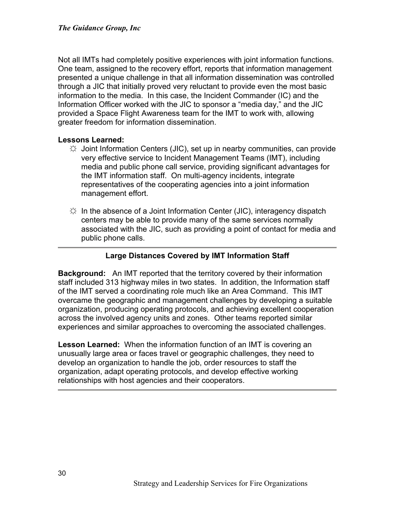Not all IMTs had completely positive experiences with joint information functions. One team, assigned to the recovery effort, reports that information management presented a unique challenge in that all information dissemination was controlled through a JIC that initially proved very reluctant to provide even the most basic information to the media. In this case, the Incident Commander (IC) and the Information Officer worked with the JIC to sponsor a "media day," and the JIC provided a Space Flight Awareness team for the IMT to work with, allowing greater freedom for information dissemination.

#### **Lessons Learned:**

- $\uparrow \downarrow$  Joint Information Centers (JIC), set up in nearby communities, can provide very effective service to Incident Management Teams (IMT), including media and public phone call service, providing significant advantages for the IMT information staff. On multi-agency incidents, integrate representatives of the cooperating agencies into a joint information management effort.
- $\varphi$  In the absence of a Joint Information Center (JIC), interagency dispatch centers may be able to provide many of the same services normally associated with the JIC, such as providing a point of contact for media and public phone calls.

## **Large Distances Covered by IMT Information Staff**

**Background:** An IMT reported that the territory covered by their information staff included 313 highway miles in two states. In addition, the Information staff of the IMT served a coordinating role much like an Area Command. This IMT overcame the geographic and management challenges by developing a suitable organization, producing operating protocols, and achieving excellent cooperation across the involved agency units and zones. Other teams reported similar experiences and similar approaches to overcoming the associated challenges.

**Lesson Learned:** When the information function of an IMT is covering an unusually large area or faces travel or geographic challenges, they need to develop an organization to handle the job, order resources to staff the organization, adapt operating protocols, and develop effective working relationships with host agencies and their cooperators.